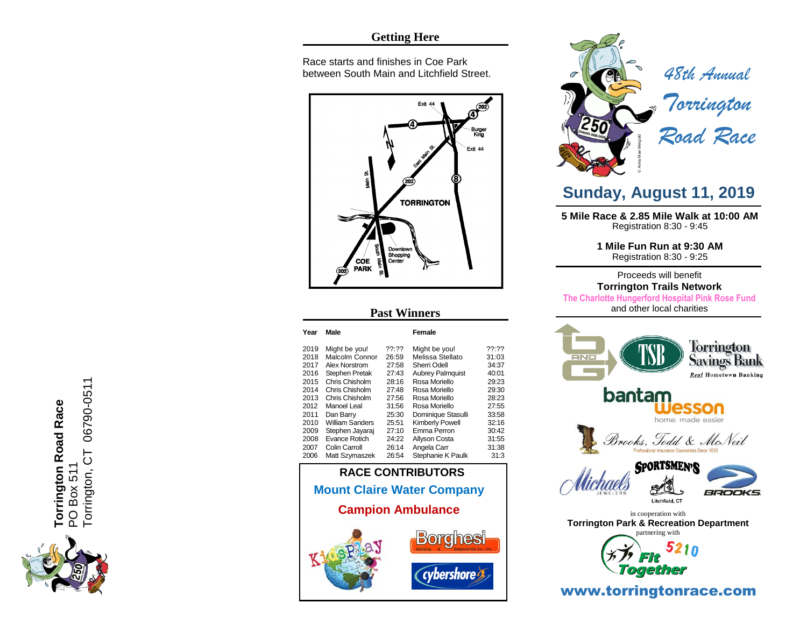## **Getting Here**

Race starts and finishes in Coe Park between South Main and Litchfield Street.



## **Past Winners**

**Year Male Female** 

| 2019 | Might be you!          | 72:22 | Might be you!           | 72:22 |
|------|------------------------|-------|-------------------------|-------|
| 2018 | Malcolm Connor         | 26:59 | Melissa Stellato        | 31:03 |
| 2017 | <b>Alex Norstrom</b>   | 27:58 | Sherri Odell            | 34:37 |
| 2016 | <b>Stephen Pretak</b>  | 27:43 | <b>Aubrey Palmquist</b> | 40:01 |
| 2015 | Chris Chisholm         | 28:16 | Rosa Moriello           | 29:23 |
| 2014 | Chris Chisholm         | 27:48 | Rosa Moriello           | 29:30 |
| 2013 | Chris Chisholm         | 27:56 | Rosa Moriello           | 28:23 |
| 2012 | Manoel Leal            | 31:56 | Rosa Moriello           | 27:55 |
| 2011 | Dan Barry              | 25:30 | Dominique Stasulli      | 33:58 |
| 2010 | <b>William Sanders</b> | 25:51 | <b>Kimberly Powell</b>  | 32:16 |
| 2009 | Stephen Jayaraj        | 27:10 | Emma Perron             | 30:42 |
| 2008 | <b>Evance Rotich</b>   | 24:22 | Allyson Costa           | 31:55 |
| 2007 | Colin Carroll          | 26:14 | Angela Carr             | 31:38 |
| 2006 | Matt Szymaszek         | 26:54 | Stephanie K Paulk       | 31:3  |
|      |                        |       |                         |       |





## **Sunday, August 1 1, 201 9**

**5 Mile Race & 2.85 Mile Walk at 10:00 AM** Registration 8:30 - 9:45

> **1 Mile Fun Run at 9:30 AM** Registration 8:30 - 9:25

Proceeds will benefit **Torrington Trails Network The Charlotte Hungerford Hospital Pink Ros e Fund**